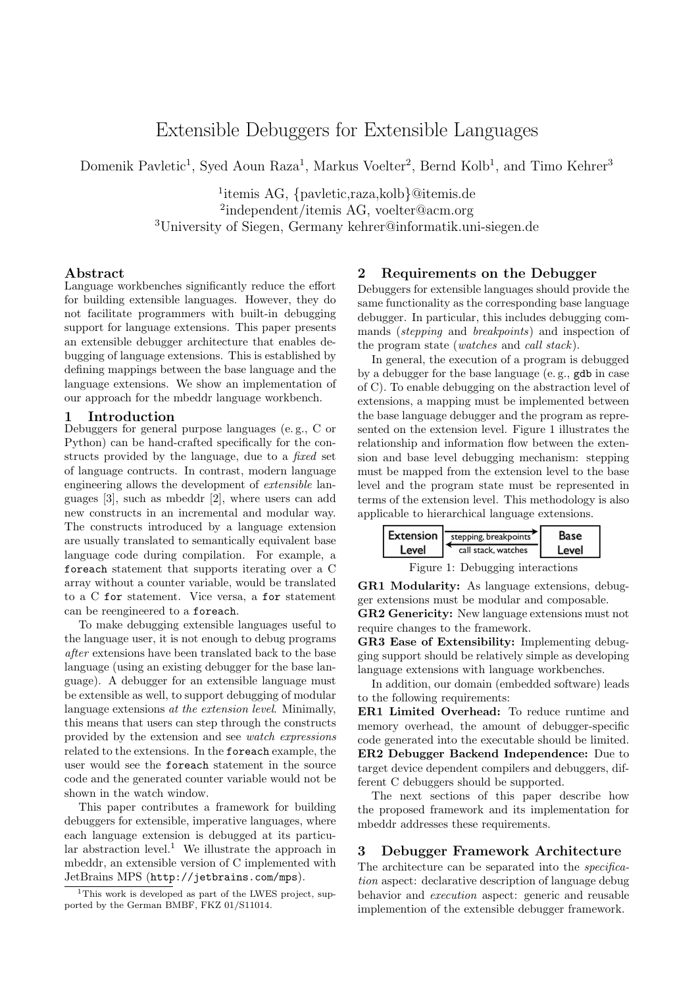# Extensible Debuggers for Extensible Languages

Domenik Pavletic<sup>1</sup>, Syed Aoun Raza<sup>1</sup>, Markus Voelter<sup>2</sup>, Bernd Kolb<sup>1</sup>, and Timo Kehrer<sup>3</sup>

<sup>1</sup>itemis AG, *{*pavletic,raza,kolb*}*@itemis.de <sup>2</sup>independent/itemis AG, voelter@acm.org <sup>3</sup>University of Siegen, Germany kehrer@informatik.uni-siegen.de

#### Abstract

Language workbenches significantly reduce the effort for building extensible languages. However, they do not facilitate programmers with built-in debugging support for language extensions. This paper presents an extensible debugger architecture that enables debugging of language extensions. This is established by defining mappings between the base language and the language extensions. We show an implementation of our approach for the mbeddr language workbench.

## 1 Introduction

Debuggers for general purpose languages (e. g., C or Python) can be hand-crafted specifically for the constructs provided by the language, due to a *fixed* set of language contructs. In contrast, modern language engineering allows the development of *extensible* languages [\[3\]](#page-1-0), such as mbeddr [\[2\]](#page-1-1), where users can add new constructs in an incremental and modular way. The constructs introduced by a language extension are usually translated to semantically equivalent base language code during compilation. For example, a foreach statement that supports iterating over a C array without a counter variable, would be translated to a C for statement. Vice versa, a for statement can be reengineered to a foreach.

To make debugging extensible languages useful to the language user, it is not enough to debug programs *after* extensions have been translated back to the base language (using an existing debugger for the base language). A debugger for an extensible language must be extensible as well, to support debugging of modular language extensions *at the extension level*. Minimally, this means that users can step through the constructs provided by the extension and see *watch expressions* related to the extensions. In the foreach example, the user would see the foreach statement in the source code and the generated counter variable would not be shown in the watch window.

This paper contributes a framework for building debuggers for extensible, imperative languages, where each language extension is debugged at its particu-lar abstraction level.<sup>[1](#page-0-0)</sup> We illustrate the approach in mbeddr, an extensible version of C implemented with JetBrains MPS (http://jetbrains.com/mps).

#### 2 Requirements on the Debugger

Debuggers for extensible languages should provide the same functionality as the corresponding base language debugger. In particular, this includes debugging commands (*stepping* and *breakpoints*) and inspection of the program state (*watches* and *call stack*).

In general, the execution of a program is debugged by a debugger for the base language (e. g., gdb in case of C). To enable debugging on the abstraction level of extensions, a mapping must be implemented between the base language debugger and the program as represented on the extension level. Figure [1](#page-0-1) illustrates the relationship and information flow between the extension and base level debugging mechanism: stepping must be mapped from the extension level to the base level and the program state must be represented in terms of the extension level. This methodology is also applicable to hierarchical language extensions.

<span id="page-0-1"></span>

GR1 Modularity: As language extensions, debug-

ger extensions must be modular and composable.

GR2 Genericity: New language extensions must not require changes to the framework.

GR3 Ease of Extensibility: Implementing debugging support should be relatively simple as developing language extensions with language workbenches.

In addition, our domain (embedded software) leads to the following requirements:

ER1 Limited Overhead: To reduce runtime and memory overhead, the amount of debugger-specific code generated into the executable should be limited. ER2 Debugger Backend Independence: Due to target device dependent compilers and debuggers, different C debuggers should be supported.

The next sections of this paper describe how the proposed framework and its implementation for mbeddr addresses these requirements.

# 3 Debugger Framework Architecture

The architecture can be separated into the *specification* aspect: declarative description of language debug behavior and *execution* aspect: generic and reusable implemention of the extensible debugger framework.

<span id="page-0-0"></span><sup>&</sup>lt;sup>1</sup>This work is developed as part of the LWES project, supported by the German BMBF, FKZ 01/S11014.